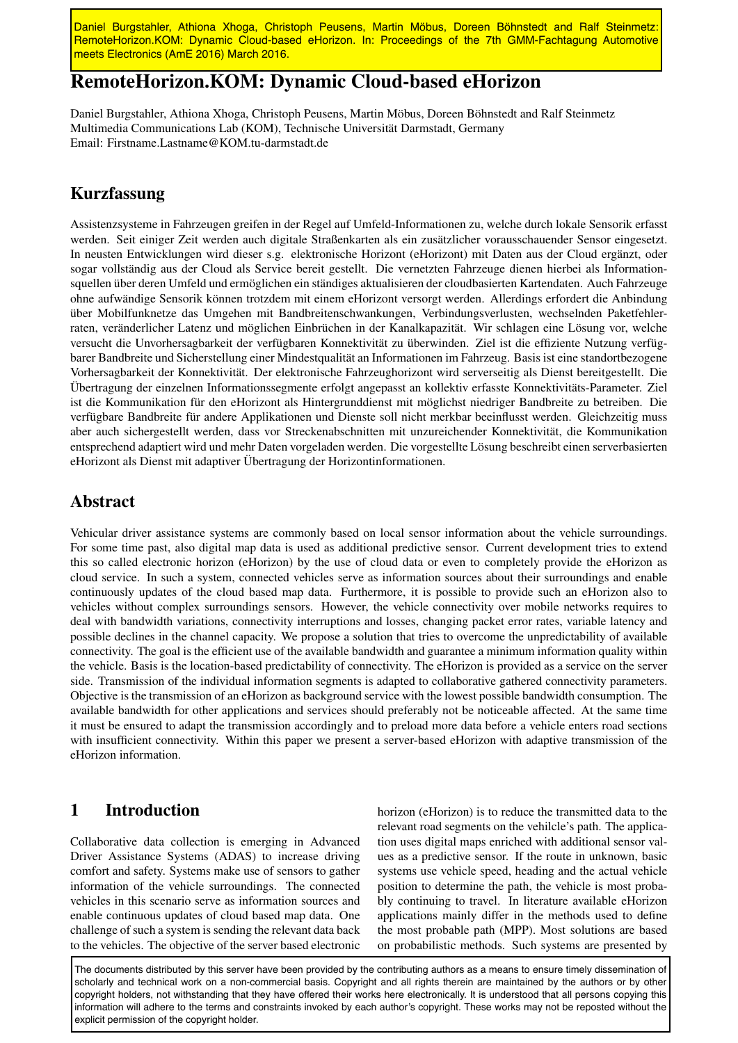Daniel Burgstahler, Athiona Xhoga, Christoph Peusens, Martin Möbus, Doreen Böhnstedt and Ralf Steinmetz: RemoteHorizon.KOM: Dynamic Cloud-based eHorizon. In: Proceedings of the 7th GMM-Fachtagung Automotive meets Electronics (AmE 2016) March 2016.

# RemoteHorizon.KOM: Dynamic Cloud-based eHorizon

Daniel Burgstahler, Athiona Xhoga, Christoph Peusens, Martin Möbus, Doreen Böhnstedt and Ralf Steinmetz Multimedia Communications Lab (KOM), Technische Universität Darmstadt, Germany Email: Firstname.Lastname@KOM.tu-darmstadt.de

## Kurzfassung

Assistenzsysteme in Fahrzeugen greifen in der Regel auf Umfeld-Informationen zu, welche durch lokale Sensorik erfasst werden. Seit einiger Zeit werden auch digitale Straßenkarten als ein zusätzlicher vorausschauender Sensor eingesetzt. In neusten Entwicklungen wird dieser s.g. elektronische Horizont (eHorizont) mit Daten aus der Cloud ergänzt, oder sogar vollständig aus der Cloud als Service bereit gestellt. Die vernetzten Fahrzeuge dienen hierbei als Informationsquellen über deren Umfeld und ermöglichen ein ständiges aktualisieren der cloudbasierten Kartendaten. Auch Fahrzeuge ohne aufwändige Sensorik können trotzdem mit einem eHorizont versorgt werden. Allerdings erfordert die Anbindung über Mobilfunknetze das Umgehen mit Bandbreitenschwankungen, Verbindungsverlusten, wechselnden Paketfehlerraten, veränderlicher Latenz und möglichen Einbrüchen in der Kanalkapazität. Wir schlagen eine Lösung vor, welche versucht die Unvorhersagbarkeit der verfügbaren Konnektivität zu überwinden. Ziel ist die effiziente Nutzung verfügbarer Bandbreite und Sicherstellung einer Mindestqualität an Informationen im Fahrzeug. Basis ist eine standortbezogene Vorhersagbarkeit der Konnektivität. Der elektronische Fahrzeughorizont wird serverseitig als Dienst bereitgestellt. Die Übertragung der einzelnen Informationssegmente erfolgt angepasst an kollektiv erfasste Konnektivitäts-Parameter. Ziel ist die Kommunikation für den eHorizont als Hintergrunddienst mit möglichst niedriger Bandbreite zu betreiben. Die verfügbare Bandbreite für andere Applikationen und Dienste soll nicht merkbar beeinflusst werden. Gleichzeitig muss aber auch sichergestellt werden, dass vor Streckenabschnitten mit unzureichender Konnektivität, die Kommunikation entsprechend adaptiert wird und mehr Daten vorgeladen werden. Die vorgestellte Lösung beschreibt einen serverbasierten eHorizont als Dienst mit adaptiver Übertragung der Horizontinformationen.

## Abstract

Vehicular driver assistance systems are commonly based on local sensor information about the vehicle surroundings. For some time past, also digital map data is used as additional predictive sensor. Current development tries to extend this so called electronic horizon (eHorizon) by the use of cloud data or even to completely provide the eHorizon as cloud service. In such a system, connected vehicles serve as information sources about their surroundings and enable continuously updates of the cloud based map data. Furthermore, it is possible to provide such an eHorizon also to vehicles without complex surroundings sensors. However, the vehicle connectivity over mobile networks requires to deal with bandwidth variations, connectivity interruptions and losses, changing packet error rates, variable latency and possible declines in the channel capacity. We propose a solution that tries to overcome the unpredictability of available connectivity. The goal is the efficient use of the available bandwidth and guarantee a minimum information quality within the vehicle. Basis is the location-based predictability of connectivity. The eHorizon is provided as a service on the server side. Transmission of the individual information segments is adapted to collaborative gathered connectivity parameters. Objective is the transmission of an eHorizon as background service with the lowest possible bandwidth consumption. The available bandwidth for other applications and services should preferably not be noticeable affected. At the same time it must be ensured to adapt the transmission accordingly and to preload more data before a vehicle enters road sections with insufficient connectivity. Within this paper we present a server-based eHorizon with adaptive transmission of the eHorizon information.

### 1 Introduction

Collaborative data collection is emerging in Advanced Driver Assistance Systems (ADAS) to increase driving comfort and safety. Systems make use of sensors to gather information of the vehicle surroundings. The connected vehicles in this scenario serve as information sources and enable continuous updates of cloud based map data. One challenge of such a system is sending the relevant data back to the vehicles. The objective of the server based electronic horizon (eHorizon) is to reduce the transmitted data to the relevant road segments on the vehilcle's path. The application uses digital maps enriched with additional sensor values as a predictive sensor. If the route in unknown, basic systems use vehicle speed, heading and the actual vehicle position to determine the path, the vehicle is most probably continuing to travel. In literature available eHorizon applications mainly differ in the methods used to define the most probable path (MPP). Most solutions are based on probabilistic methods. Such systems are presented by

The documents distributed by this server have been provided by the contributing authors as a means to ensure timely dissemination of scholarly and technical work on a non-commercial basis. Copyright and all rights therein are maintained by the authors or by other copyright holders, not withstanding that they have offered their works here electronically. It is understood that all persons copying this information will adhere to the terms and constraints invoked by each author's copyright. These works may not be reposted without the explicit permission of the copyright holder.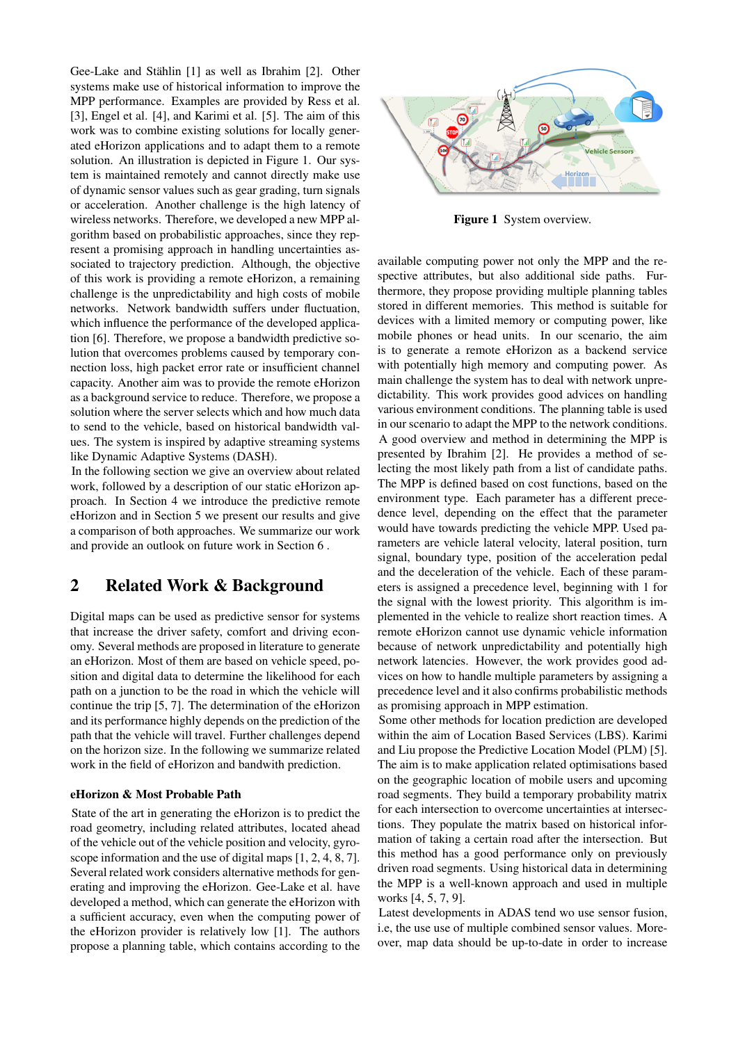Gee-Lake and Stählin [\[1\]](#page-5-0) as well as Ibrahim [\[2\]](#page-5-1). Other systems make use of historical information to improve the MPP performance. Examples are provided by Ress et al. [\[3\]](#page-5-2), Engel et al. [\[4\]](#page-5-3), and Karimi et al. [\[5\]](#page-5-4). The aim of this work was to combine existing solutions for locally generated eHorizon applications and to adapt them to a remote solution. An illustration is depicted in Figure [1.](#page-1-0) Our system is maintained remotely and cannot directly make use of dynamic sensor values such as gear grading, turn signals or acceleration. Another challenge is the high latency of wireless networks. Therefore, we developed a new MPP algorithm based on probabilistic approaches, since they represent a promising approach in handling uncertainties associated to trajectory prediction. Although, the objective of this work is providing a remote eHorizon, a remaining challenge is the unpredictability and high costs of mobile networks. Network bandwidth suffers under fluctuation, which influence the performance of the developed application [\[6\]](#page-5-5). Therefore, we propose a bandwidth predictive solution that overcomes problems caused by temporary connection loss, high packet error rate or insufficient channel capacity. Another aim was to provide the remote eHorizon as a background service to reduce. Therefore, we propose a solution where the server selects which and how much data to send to the vehicle, based on historical bandwidth values. The system is inspired by adaptive streaming systems like Dynamic Adaptive Systems (DASH).

In the following section we give an overview about related work, followed by a description of our static eHorizon approach. In Section [4](#page-3-0) we introduce the predictive remote eHorizon and in Section [5](#page-4-0) we present our results and give a comparison of both approaches. We summarize our work and provide an outlook on future work in Section [6](#page-4-1) .

## 2 Related Work & Background

Digital maps can be used as predictive sensor for systems that increase the driver safety, comfort and driving economy. Several methods are proposed in literature to generate an eHorizon. Most of them are based on vehicle speed, position and digital data to determine the likelihood for each path on a junction to be the road in which the vehicle will continue the trip [\[5,](#page-5-4) [7\]](#page-5-6). The determination of the eHorizon and its performance highly depends on the prediction of the path that the vehicle will travel. Further challenges depend on the horizon size. In the following we summarize related work in the field of eHorizon and bandwith prediction.

#### eHorizon & Most Probable Path

State of the art in generating the eHorizon is to predict the road geometry, including related attributes, located ahead of the vehicle out of the vehicle position and velocity, gyroscope information and the use of digital maps [\[1,](#page-5-0) [2,](#page-5-1) [4,](#page-5-3) [8,](#page-5-7) [7\]](#page-5-6). Several related work considers alternative methods for generating and improving the eHorizon. Gee-Lake et al. have developed a method, which can generate the eHorizon with a sufficient accuracy, even when the computing power of the eHorizon provider is relatively low [\[1\]](#page-5-0). The authors propose a planning table, which contains according to the

<span id="page-1-0"></span>

Figure 1 System overview.

available computing power not only the MPP and the respective attributes, but also additional side paths. Furthermore, they propose providing multiple planning tables stored in different memories. This method is suitable for devices with a limited memory or computing power, like mobile phones or head units. In our scenario, the aim is to generate a remote eHorizon as a backend service with potentially high memory and computing power. As main challenge the system has to deal with network unpredictability. This work provides good advices on handling various environment conditions. The planning table is used in our scenario to adapt the MPP to the network conditions. A good overview and method in determining the MPP is presented by Ibrahim [\[2\]](#page-5-1). He provides a method of selecting the most likely path from a list of candidate paths. The MPP is defined based on cost functions, based on the environment type. Each parameter has a different precedence level, depending on the effect that the parameter would have towards predicting the vehicle MPP. Used parameters are vehicle lateral velocity, lateral position, turn signal, boundary type, position of the acceleration pedal and the deceleration of the vehicle. Each of these parameters is assigned a precedence level, beginning with 1 for the signal with the lowest priority. This algorithm is implemented in the vehicle to realize short reaction times. A remote eHorizon cannot use dynamic vehicle information because of network unpredictability and potentially high network latencies. However, the work provides good advices on how to handle multiple parameters by assigning a precedence level and it also confirms probabilistic methods as promising approach in MPP estimation.

Some other methods for location prediction are developed within the aim of Location Based Services (LBS). Karimi and Liu propose the Predictive Location Model (PLM) [\[5\]](#page-5-4). The aim is to make application related optimisations based on the geographic location of mobile users and upcoming road segments. They build a temporary probability matrix for each intersection to overcome uncertainties at intersections. They populate the matrix based on historical information of taking a certain road after the intersection. But this method has a good performance only on previously driven road segments. Using historical data in determining the MPP is a well-known approach and used in multiple works [\[4,](#page-5-3) [5,](#page-5-4) [7,](#page-5-6) [9\]](#page-5-8).

Latest developments in ADAS tend wo use sensor fusion, i.e, the use use of multiple combined sensor values. Moreover, map data should be up-to-date in order to increase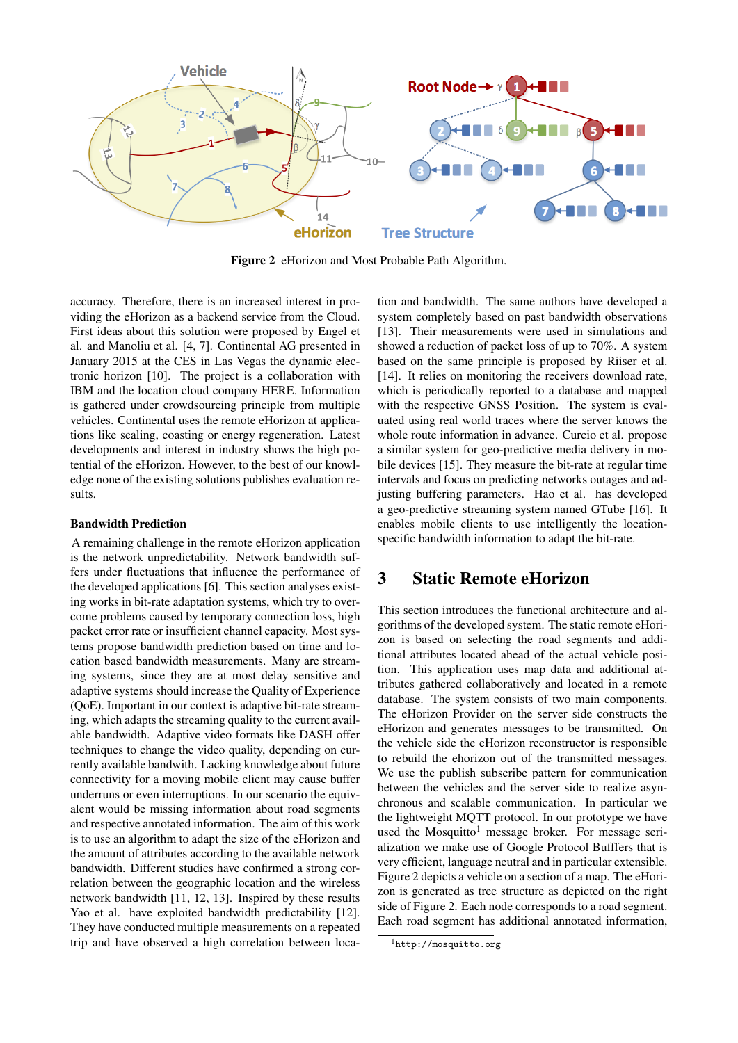<span id="page-2-1"></span>

Figure 2 eHorizon and Most Probable Path Algorithm.

accuracy. Therefore, there is an increased interest in providing the eHorizon as a backend service from the Cloud. First ideas about this solution were proposed by Engel et al. and Manoliu et al. [\[4,](#page-5-3) [7\]](#page-5-6). Continental AG presented in January 2015 at the CES in Las Vegas the dynamic electronic horizon [\[10\]](#page-5-9). The project is a collaboration with IBM and the location cloud company HERE. Information is gathered under crowdsourcing principle from multiple vehicles. Continental uses the remote eHorizon at applications like sealing, coasting or energy regeneration. Latest developments and interest in industry shows the high potential of the eHorizon. However, to the best of our knowledge none of the existing solutions publishes evaluation results.

#### Bandwidth Prediction

A remaining challenge in the remote eHorizon application is the network unpredictability. Network bandwidth suffers under fluctuations that influence the performance of the developed applications [\[6\]](#page-5-5). This section analyses existing works in bit-rate adaptation systems, which try to overcome problems caused by temporary connection loss, high packet error rate or insufficient channel capacity. Most systems propose bandwidth prediction based on time and location based bandwidth measurements. Many are streaming systems, since they are at most delay sensitive and adaptive systems should increase the Quality of Experience (QoE). Important in our context is adaptive bit-rate streaming, which adapts the streaming quality to the current available bandwidth. Adaptive video formats like DASH offer techniques to change the video quality, depending on currently available bandwith. Lacking knowledge about future connectivity for a moving mobile client may cause buffer underruns or even interruptions. In our scenario the equivalent would be missing information about road segments and respective annotated information. The aim of this work is to use an algorithm to adapt the size of the eHorizon and the amount of attributes according to the available network bandwidth. Different studies have confirmed a strong correlation between the geographic location and the wireless network bandwidth [\[11,](#page-5-10) [12,](#page-5-11) [13\]](#page-5-12). Inspired by these results Yao et al. have exploited bandwidth predictability [\[12\]](#page-5-11). They have conducted multiple measurements on a repeated trip and have observed a high correlation between loca-

tion and bandwidth. The same authors have developed a system completely based on past bandwidth observations [\[13\]](#page-5-12). Their measurements were used in simulations and showed a reduction of packet loss of up to 70%. A system based on the same principle is proposed by Riiser et al. [\[14\]](#page-5-13). It relies on monitoring the receivers download rate, which is periodically reported to a database and mapped with the respective GNSS Position. The system is evaluated using real world traces where the server knows the whole route information in advance. Curcio et al. propose a similar system for geo-predictive media delivery in mobile devices [\[15\]](#page-5-14). They measure the bit-rate at regular time intervals and focus on predicting networks outages and adjusting buffering parameters. Hao et al. has developed a geo-predictive streaming system named GTube [\[16\]](#page-5-15). It enables mobile clients to use intelligently the locationspecific bandwidth information to adapt the bit-rate.

### 3 Static Remote eHorizon

This section introduces the functional architecture and algorithms of the developed system. The static remote eHorizon is based on selecting the road segments and additional attributes located ahead of the actual vehicle position. This application uses map data and additional attributes gathered collaboratively and located in a remote database. The system consists of two main components. The eHorizon Provider on the server side constructs the eHorizon and generates messages to be transmitted. On the vehicle side the eHorizon reconstructor is responsible to rebuild the ehorizon out of the transmitted messages. We use the publish subscribe pattern for communication between the vehicles and the server side to realize asynchronous and scalable communication. In particular we the lightweight MQTT protocol. In our prototype we have used the Mosquitto<sup>1</sup> message broker. For message serialization we make use of Google Protocol Bufffers that is very efficient, language neutral and in particular extensible. Figure [2](#page-2-1) depicts a vehicle on a section of a map. The eHorizon is generated as tree structure as depicted on the right side of Figure [2.](#page-2-1) Each node corresponds to a road segment. Each road segment has additional annotated information,

<span id="page-2-0"></span><sup>1</sup><http://mosquitto.org>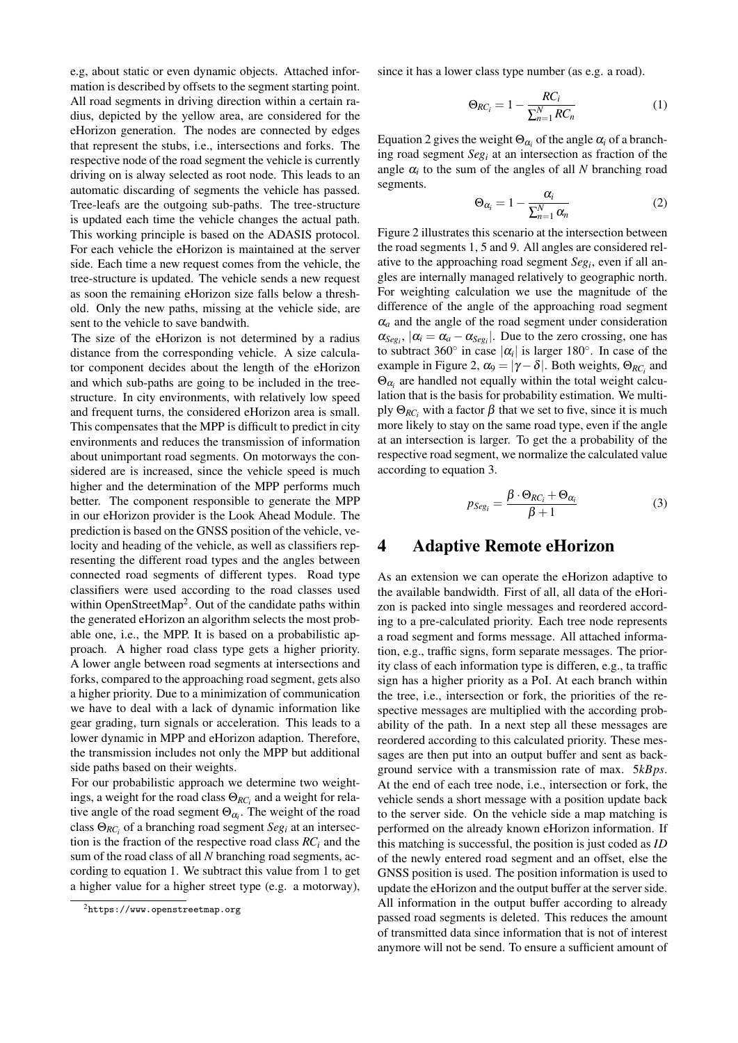e.g, about static or even dynamic objects. Attached information is described by offsets to the segment starting point. All road segments in driving direction within a certain radius, depicted by the yellow area, are considered for the eHorizon generation. The nodes are connected by edges that represent the stubs, i.e., intersections and forks. The respective node of the road segment the vehicle is currently driving on is alway selected as root node. This leads to an automatic discarding of segments the vehicle has passed. Tree-leafs are the outgoing sub-paths. The tree-structure is updated each time the vehicle changes the actual path. This working principle is based on the ADASIS protocol. For each vehicle the eHorizon is maintained at the server side. Each time a new request comes from the vehicle, the tree-structure is updated. The vehicle sends a new request as soon the remaining eHorizon size falls below a threshold. Only the new paths, missing at the vehicle side, are sent to the vehicle to save bandwith.

The size of the eHorizon is not determined by a radius distance from the corresponding vehicle. A size calculator component decides about the length of the eHorizon and which sub-paths are going to be included in the treestructure. In city environments, with relatively low speed and frequent turns, the considered eHorizon area is small. This compensates that the MPP is difficult to predict in city environments and reduces the transmission of information about unimportant road segments. On motorways the considered are is increased, since the vehicle speed is much higher and the determination of the MPP performs much better. The component responsible to generate the MPP in our eHorizon provider is the Look Ahead Module. The prediction is based on the GNSS position of the vehicle, velocity and heading of the vehicle, as well as classifiers representing the different road types and the angles between connected road segments of different types. Road type classifiers were used according to the road classes used within OpenStreetMap<sup>2</sup>. Out of the candidate paths within the generated eHorizon an algorithm selects the most probable one, i.e., the MPP. It is based on a probabilistic approach. A higher road class type gets a higher priority. A lower angle between road segments at intersections and forks, compared to the approaching road segment, gets also a higher priority. Due to a minimization of communication we have to deal with a lack of dynamic information like gear grading, turn signals or acceleration. This leads to a lower dynamic in MPP and eHorizon adaption. Therefore, the transmission includes not only the MPP but additional side paths based on their weights.

For our probabilistic approach we determine two weightings, a weight for the road class  $\Theta_{RC_i}$  and a weight for relative angle of the road segment  $\Theta_{\alpha_i}$ . The weight of the road class  $\Theta_{RC_i}$  of a branching road segment *Seg<sub>i</sub>* at an intersection is the fraction of the respective road class  $RC<sub>i</sub>$  and the sum of the road class of all *N* branching road segments, according to equation [1.](#page-3-2) We subtract this value from 1 to get a higher value for a higher street type (e.g. a motorway), since it has a lower class type number (as e.g. a road).

<span id="page-3-2"></span>
$$
\Theta_{RC_i} = 1 - \frac{RC_i}{\sum_{n=1}^{N} RC_n} \tag{1}
$$

Equation [2](#page-3-3) gives the weight  $\Theta_{\alpha_i}$  of the angle  $\alpha_i$  of a branching road segment *Segi* at an intersection as fraction of the angle  $\alpha_i$  to the sum of the angles of all *N* branching road segments.

<span id="page-3-3"></span>
$$
\Theta_{\alpha_i} = 1 - \frac{\alpha_i}{\sum_{n=1}^{N} \alpha_n} \tag{2}
$$

Figure [2](#page-2-1) illustrates this scenario at the intersection between the road segments 1, 5 and 9. All angles are considered relative to the approaching road segment *Segi*, even if all angles are internally managed relatively to geographic north. For weighting calculation we use the magnitude of the difference of the angle of the approaching road segment  $\alpha_a$  and the angle of the road segment under consideration  $\alpha_{Seg_i}$ ,  $|\alpha_i = \alpha_a - \alpha_{Seg_i}|$ . Due to the zero crossing, one has to subtract 360 $^{\circ}$  in case  $|\alpha_i|$  is larger 180 $^{\circ}$ . In case of the example in Figure [2,](#page-2-1)  $\alpha_9 = |\gamma - \delta|$ . Both weights,  $\Theta_{RC_i}$  and  $\Theta_{\alpha_i}$  are handled not equally within the total weight calculation that is the basis for probability estimation. We multiply  $\Theta_{RC_i}$  with a factor  $\beta$  that we set to five, since it is much more likely to stay on the same road type, even if the angle at an intersection is larger. To get the a probability of the respective road segment, we normalize the calculated value according to equation [3.](#page-3-4)

<span id="page-3-4"></span>
$$
p_{Seg_i} = \frac{\beta \cdot \Theta_{RC_i} + \Theta_{\alpha_i}}{\beta + 1} \tag{3}
$$

#### <span id="page-3-0"></span>4 Adaptive Remote eHorizon

As an extension we can operate the eHorizon adaptive to the available bandwidth. First of all, all data of the eHorizon is packed into single messages and reordered according to a pre-calculated priority. Each tree node represents a road segment and forms message. All attached information, e.g., traffic signs, form separate messages. The priority class of each information type is differen, e.g., ta traffic sign has a higher priority as a PoI. At each branch within the tree, i.e., intersection or fork, the priorities of the respective messages are multiplied with the according probability of the path. In a next step all these messages are reordered according to this calculated priority. These messages are then put into an output buffer and sent as background service with a transmission rate of max. 5*kBps*. At the end of each tree node, i.e., intersection or fork, the vehicle sends a short message with a position update back to the server side. On the vehicle side a map matching is performed on the already known eHorizon information. If this matching is successful, the position is just coded as *ID* of the newly entered road segment and an offset, else the GNSS position is used. The position information is used to update the eHorizon and the output buffer at the server side. All information in the output buffer according to already passed road segments is deleted. This reduces the amount of transmitted data since information that is not of interest anymore will not be send. To ensure a sufficient amount of

<span id="page-3-1"></span><sup>2</sup><https://www.openstreetmap.org>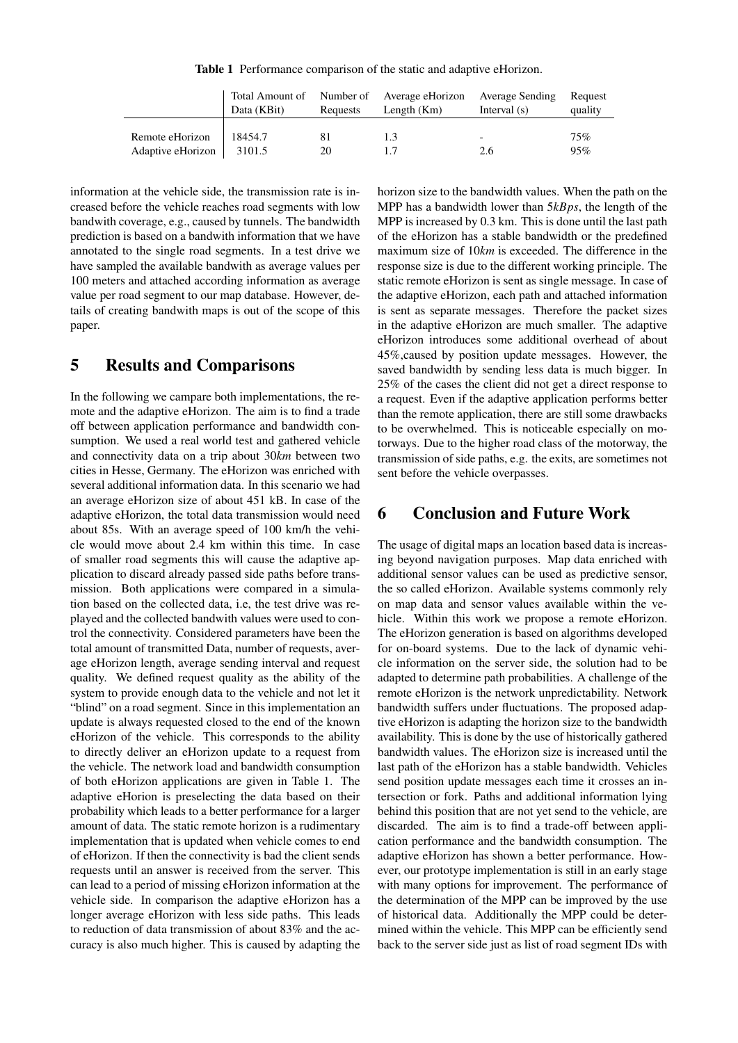Table 1 Performance comparison of the static and adaptive eHorizon.

<span id="page-4-2"></span>

|                   | Data (KBit) | Requests | Total Amount of Number of Average eHorizon<br>Length $(Km)$ | Average Sending<br>Interval $(s)$ | Request<br>quality |
|-------------------|-------------|----------|-------------------------------------------------------------|-----------------------------------|--------------------|
| Remote eHorizon   | 18454.7     | 81       | 13                                                          | -                                 | 75%                |
| Adaptive eHorizon | 3101.5      | 20       |                                                             | 2.6                               | 95%                |

information at the vehicle side, the transmission rate is increased before the vehicle reaches road segments with low bandwith coverage, e.g., caused by tunnels. The bandwidth prediction is based on a bandwith information that we have annotated to the single road segments. In a test drive we have sampled the available bandwith as average values per 100 meters and attached according information as average value per road segment to our map database. However, details of creating bandwith maps is out of the scope of this paper.

## <span id="page-4-0"></span>5 Results and Comparisons

In the following we campare both implementations, the remote and the adaptive eHorizon. The aim is to find a trade off between application performance and bandwidth consumption. We used a real world test and gathered vehicle and connectivity data on a trip about 30*km* between two cities in Hesse, Germany. The eHorizon was enriched with several additional information data. In this scenario we had an average eHorizon size of about 451 kB. In case of the adaptive eHorizon, the total data transmission would need about 85s. With an average speed of 100 km/h the vehicle would move about 2.4 km within this time. In case of smaller road segments this will cause the adaptive application to discard already passed side paths before transmission. Both applications were compared in a simulation based on the collected data, i.e, the test drive was replayed and the collected bandwith values were used to control the connectivity. Considered parameters have been the total amount of transmitted Data, number of requests, average eHorizon length, average sending interval and request quality. We defined request quality as the ability of the system to provide enough data to the vehicle and not let it "blind" on a road segment. Since in this implementation an update is always requested closed to the end of the known eHorizon of the vehicle. This corresponds to the ability to directly deliver an eHorizon update to a request from the vehicle. The network load and bandwidth consumption of both eHorizon applications are given in Table [1.](#page-4-2) The adaptive eHorion is preselecting the data based on their probability which leads to a better performance for a larger amount of data. The static remote horizon is a rudimentary implementation that is updated when vehicle comes to end of eHorizon. If then the connectivity is bad the client sends requests until an answer is received from the server. This can lead to a period of missing eHorizon information at the vehicle side. In comparison the adaptive eHorizon has a longer average eHorizon with less side paths. This leads to reduction of data transmission of about 83% and the accuracy is also much higher. This is caused by adapting the

horizon size to the bandwidth values. When the path on the MPP has a bandwidth lower than 5*kBps*, the length of the MPP is increased by 0.3 km. This is done until the last path of the eHorizon has a stable bandwidth or the predefined maximum size of 10*km* is exceeded. The difference in the response size is due to the different working principle. The static remote eHorizon is sent as single message. In case of the adaptive eHorizon, each path and attached information is sent as separate messages. Therefore the packet sizes in the adaptive eHorizon are much smaller. The adaptive eHorizon introduces some additional overhead of about 45%,caused by position update messages. However, the saved bandwidth by sending less data is much bigger. In 25% of the cases the client did not get a direct response to a request. Even if the adaptive application performs better than the remote application, there are still some drawbacks to be overwhelmed. This is noticeable especially on motorways. Due to the higher road class of the motorway, the transmission of side paths, e.g. the exits, are sometimes not sent before the vehicle overpasses.

### <span id="page-4-1"></span>6 Conclusion and Future Work

The usage of digital maps an location based data is increasing beyond navigation purposes. Map data enriched with additional sensor values can be used as predictive sensor, the so called eHorizon. Available systems commonly rely on map data and sensor values available within the vehicle. Within this work we propose a remote eHorizon. The eHorizon generation is based on algorithms developed for on-board systems. Due to the lack of dynamic vehicle information on the server side, the solution had to be adapted to determine path probabilities. A challenge of the remote eHorizon is the network unpredictability. Network bandwidth suffers under fluctuations. The proposed adaptive eHorizon is adapting the horizon size to the bandwidth availability. This is done by the use of historically gathered bandwidth values. The eHorizon size is increased until the last path of the eHorizon has a stable bandwidth. Vehicles send position update messages each time it crosses an intersection or fork. Paths and additional information lying behind this position that are not yet send to the vehicle, are discarded. The aim is to find a trade-off between application performance and the bandwidth consumption. The adaptive eHorizon has shown a better performance. However, our prototype implementation is still in an early stage with many options for improvement. The performance of the determination of the MPP can be improved by the use of historical data. Additionally the MPP could be determined within the vehicle. This MPP can be efficiently send back to the server side just as list of road segment IDs with